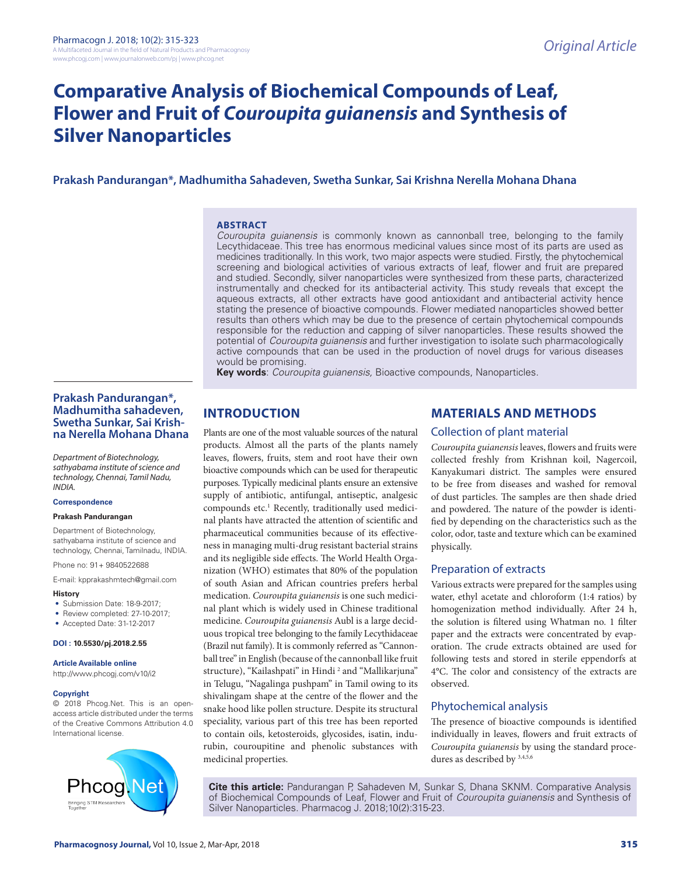# **Comparative Analysis of Biochemical Compounds of Leaf, Flower and Fruit of** *Couroupita guianensis* **and Synthesis of Silver Nanoparticles**

# **Prakash Pandurangan\*, Madhumitha Sahadeven, Swetha Sunkar, Sai Krishna Nerella Mohana Dhana**

#### **ABSTRACT**

*Couroupita guianensis* is commonly known as cannonball tree, belonging to the family Lecythidaceae. This tree has enormous medicinal values since most of its parts are used as medicines traditionally. In this work, two major aspects were studied. Firstly, the phytochemical screening and biological activities of various extracts of leaf, flower and fruit are prepared and studied. Secondly, silver nanoparticles were synthesized from these parts, characterized instrumentally and checked for its antibacterial activity. This study reveals that except the aqueous extracts, all other extracts have good antioxidant and antibacterial activity hence stating the presence of bioactive compounds. Flower mediated nanoparticles showed better results than others which may be due to the presence of certain phytochemical compounds responsible for the reduction and capping of silver nanoparticles. These results showed the potential of *Couroupita guianensis* and further investigation to isolate such pharmacologically active compounds that can be used in the production of novel drugs for various diseases would be promising.

**Key words**: *Couroupita guianensis,* Bioactive compounds, Nanoparticles.

# **Prakash Pandurangan\*, Madhumitha sahadeven, Swetha Sunkar, Sai Krishna Nerella Mohana Dhana**

*Department of Biotechnology, sathyabama institute of science and technology, Chennai, Tamil Nadu, INDIA.*

#### **Correspondence**

#### **Prakash Pandurangan**

Department of Biotechnology, sathyabama institute of science and technology, Chennai, Tamilnadu, INDIA.

Phone no: 91+ 9840522688

E-mail: kpprakashmtech@gmail.com

#### **History**

- Submission Date: 18-9-2017;
- Review completed: 27-10-2017;
- Accepted Date: 31-12-2017

#### **DOI : 10.5530/pj.2018.2.55**

#### **Article Available online**

http://www.phcogj.com/v10/i2

#### **Copyright**

© 2018 Phcog.Net. This is an openaccess article distributed under the terms of the Creative Commons Attribution 4.0 International license.



# **INTRODUCTION**

Plants are one of the most valuable sources of the natural products. Almost all the parts of the plants namely leaves, flowers, fruits, stem and root have their own bioactive compounds which can be used for therapeutic purposes. Typically medicinal plants ensure an extensive supply of antibiotic, antifungal, antiseptic, analgesic compounds etc.<sup>1</sup> Recently, traditionally used medicinal plants have attracted the attention of scientific and pharmaceutical communities because of its effectiveness in managing multi-drug resistant bacterial strains and its negligible side effects. The World Health Organization (WHO) estimates that 80% of the population of south Asian and African countries prefers herbal medication. *Couroupita guianensis* is one such medicinal plant which is widely used in Chinese traditional medicine. *Couroupita guianensis* Aubl is a large deciduous tropical tree belonging to the family Lecythidaceae (Brazil nut family). It is commonly referred as "Cannonball tree" in English (because of the cannonball like fruit structure), "Kailashpati" in Hindi <sup>2</sup> and "Mallikarjuna" in Telugu, "Nagalinga pushpam" in Tamil owing to its shivalingam shape at the centre of the flower and the snake hood like pollen structure. Despite its structural speciality, various part of this tree has been reported to contain oils, ketosteroids, glycosides, isatin, indurubin, couroupitine and phenolic substances with medicinal properties.

# **MATERIALS AND METHODS**

# Collection of plant material

*Couroupita guianensis* leaves, flowers and fruits were collected freshly from Krishnan koil, Nagercoil, Kanyakumari district. The samples were ensured to be free from diseases and washed for removal of dust particles. The samples are then shade dried and powdered. The nature of the powder is identified by depending on the characteristics such as the color, odor, taste and texture which can be examined physically.

#### Preparation of extracts

Various extracts were prepared for the samples using water, ethyl acetate and chloroform (1:4 ratios) by homogenization method individually. After 24 h, the solution is filtered using Whatman no. 1 filter paper and the extracts were concentrated by evaporation. The crude extracts obtained are used for following tests and stored in sterile eppendorfs at 4°C. The color and consistency of the extracts are observed.

# Phytochemical analysis

The presence of bioactive compounds is identified individually in leaves, flowers and fruit extracts of *Couroupita guianensis* by using the standard procedures as described by 3,4,5,6

**Cite this article:** Pandurangan P, Sahadeven M, Sunkar S, Dhana SKNM. Comparative Analysis of Biochemical Compounds of Leaf, Flower and Fruit of *Couroupita guianensis* and Synthesis of Silver Nanoparticles. Pharmacog J. 2018;10(2):315-23.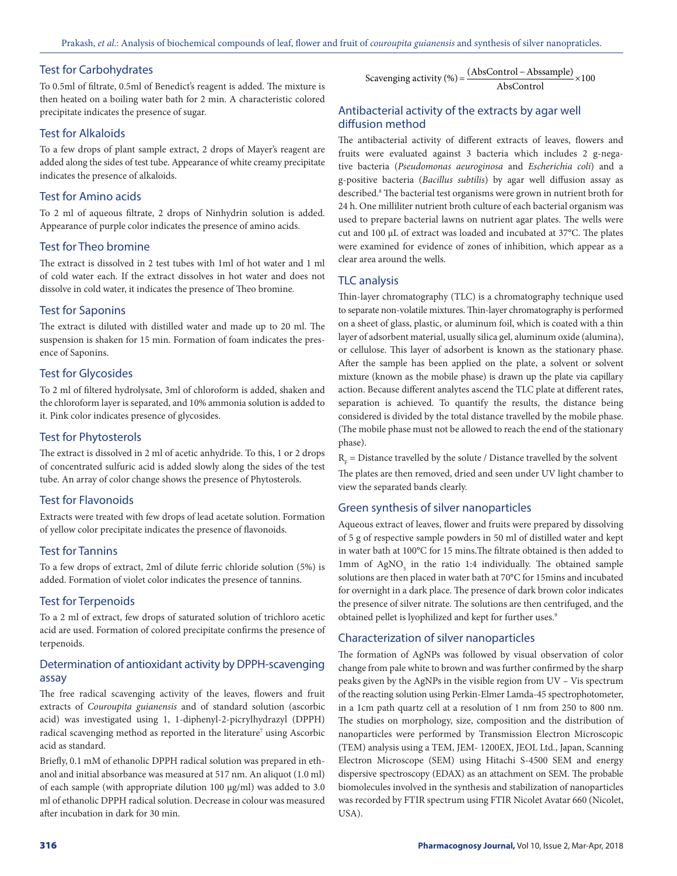# Test for Carbohydrates

To 0.5ml of filtrate, 0.5ml of Benedict's reagent is added. The mixture is then heated on a boiling water bath for 2 min. A characteristic colored precipitate indicates the presence of sugar.

# Test for Alkaloids

To a few drops of plant sample extract, 2 drops of Mayer's reagent are added along the sides of test tube. Appearance of white creamy precipitate indicates the presence of alkaloids.

# Test for Amino acids

To 2 ml of aqueous filtrate, 2 drops of Ninhydrin solution is added. Appearance of purple color indicates the presence of amino acids.

# Test for Theo bromine

The extract is dissolved in 2 test tubes with 1ml of hot water and 1 ml of cold water each. If the extract dissolves in hot water and does not dissolve in cold water, it indicates the presence of Theo bromine.

# Test for Saponins

The extract is diluted with distilled water and made up to 20 ml. The suspension is shaken for 15 min. Formation of foam indicates the presence of Saponins.

#### Test for Glycosides

To 2 ml of filtered hydrolysate, 3ml of chloroform is added, shaken and the chloroform layer is separated, and 10% ammonia solution is added to it. Pink color indicates presence of glycosides.

# Test for Phytosterols

The extract is dissolved in 2 ml of acetic anhydride. To this, 1 or 2 drops of concentrated sulfuric acid is added slowly along the sides of the test tube. An array of color change shows the presence of Phytosterols.

# Test for Flavonoids

Extracts were treated with few drops of lead acetate solution. Formation of yellow color precipitate indicates the presence of flavonoids.

#### Test for Tannins

To a few drops of extract, 2ml of dilute ferric chloride solution (5%) is added. Formation of violet color indicates the presence of tannins.

#### Test for Terpenoids

To a 2 ml of extract, few drops of saturated solution of trichloro acetic acid are used. Formation of colored precipitate confirms the presence of terpenoids.

# Determination of antioxidant activity by DPPH-scavenging assay

The free radical scavenging activity of the leaves, flowers and fruit extracts of *Couroupita guianensis* and of standard solution (ascorbic acid) was investigated using 1, 1-diphenyl-2-picrylhydrazyl (DPPH) radical scavenging method as reported in the literature<sup>7</sup> using Ascorbic acid as standard.

Briefly, 0.1 mM of ethanolic DPPH radical solution was prepared in ethanol and initial absorbance was measured at 517 nm. An aliquot (1.0 ml) of each sample (with appropriate dilution 100 µg/ml) was added to 3.0 ml of ethanolic DPPH radical solution. Decrease in colour was measured after incubation in dark for 30 min.

Scavenging activity (%) =  $\frac{(AbsControl - Abssample)}{AbsControl} \times 100$ 

# Antibacterial activity of the extracts by agar well diffusion method

The antibacterial activity of different extracts of leaves, flowers and fruits were evaluated against 3 bacteria which includes 2 g-negative bacteria (*Pseudomonas aeuroginosa* and *Escherichia coli*) and a g-positive bacteria (*Bacillus subtilis*) by agar well diffusion assay as described.<sup>8</sup> The bacterial test organisms were grown in nutrient broth for 24 h. One milliliter nutrient broth culture of each bacterial organism was used to prepare bacterial lawns on nutrient agar plates. The wells were cut and 100 μL of extract was loaded and incubated at 37°C. The plates were examined for evidence of zones of inhibition, which appear as a clear area around the wells.

#### TLC analysis

Thin-layer chromatography (TLC) is a chromatography technique used to separate non-volatile mixtures. Thin-layer chromatography is performed on a sheet of glass, plastic, or aluminum foil, which is coated with a thin layer of adsorbent material, usually silica gel, aluminum oxide (alumina), or cellulose. This layer of adsorbent is known as the stationary phase. After the sample has been applied on the plate, a solvent or solvent mixture (known as the mobile phase) is drawn up the plate via capillary action. Because different analytes ascend the TLC plate at different rates, separation is achieved. To quantify the results, the distance being considered is divided by the total distance travelled by the mobile phase. (The mobile phase must not be allowed to reach the end of the stationary phase).

 $R_{\rm F}$  = Distance travelled by the solute / Distance travelled by the solvent The plates are then removed, dried and seen under UV light chamber to view the separated bands clearly.

#### Green synthesis of silver nanoparticles

Aqueous extract of leaves, flower and fruits were prepared by dissolving of 5 g of respective sample powders in 50 ml of distilled water and kept in water bath at 100°C for 15 mins.The filtrate obtained is then added to  $1mm$  of  $AgNO<sub>3</sub>$  in the ratio 1:4 individually. The obtained sample solutions are then placed in water bath at 70°C for 15mins and incubated for overnight in a dark place. The presence of dark brown color indicates the presence of silver nitrate. The solutions are then centrifuged, and the obtained pellet is lyophilized and kept for further uses.<sup>9</sup>

# Characterization of silver nanoparticles

The formation of AgNPs was followed by visual observation of color change from pale white to brown and was further confirmed by the sharp peaks given by the AgNPs in the visible region from UV – Vis spectrum of the reacting solution using Perkin-Elmer Lamda-45 spectrophotometer, in a 1cm path quartz cell at a resolution of 1 nm from 250 to 800 nm. The studies on morphology, size, composition and the distribution of nanoparticles were performed by Transmission Electron Microscopic (TEM) analysis using a TEM, JEM- 1200EX, JEOL Ltd., Japan, Scanning Electron Microscope (SEM) using Hitachi S-4500 SEM and energy dispersive spectroscopy (EDAX) as an attachment on SEM. The probable biomolecules involved in the synthesis and stabilization of nanoparticles was recorded by FTIR spectrum using FTIR Nicolet Avatar 660 (Nicolet, USA).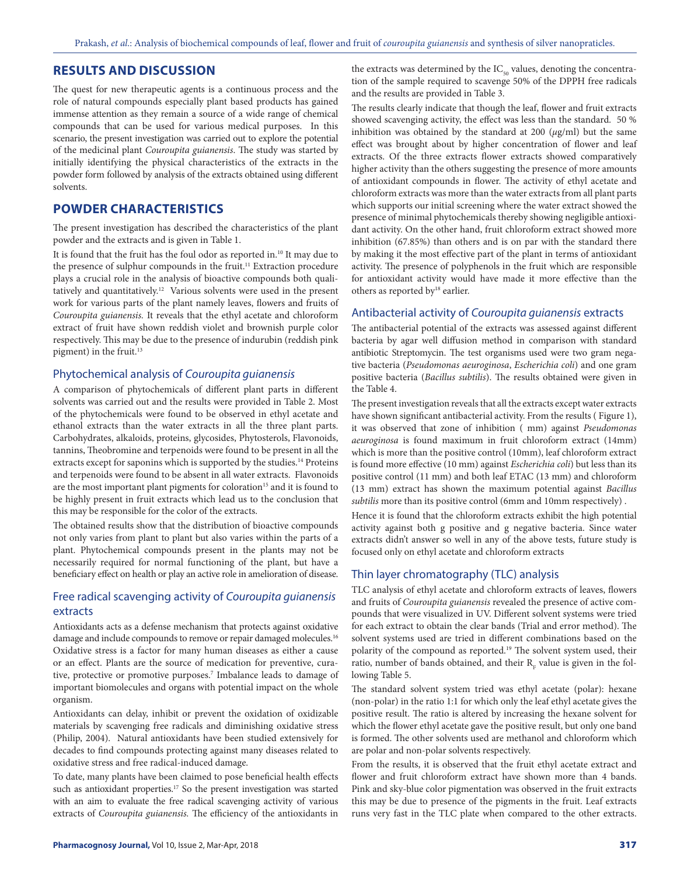## **RESULTS AND DISCUSSION**

The quest for new therapeutic agents is a continuous process and the role of natural compounds especially plant based products has gained immense attention as they remain a source of a wide range of chemical compounds that can be used for various medical purposes. In this scenario, the present investigation was carried out to explore the potential of the medicinal plant *Couroupita guianensis*. The study was started by initially identifying the physical characteristics of the extracts in the powder form followed by analysis of the extracts obtained using different solvents.

# **POWDER CHARACTERISTICS**

The present investigation has described the characteristics of the plant powder and the extracts and is given in Table 1.

It is found that the fruit has the foul odor as reported in.<sup>10</sup> It may due to the presence of sulphur compounds in the fruit.<sup>11</sup> Extraction procedure plays a crucial role in the analysis of bioactive compounds both qualitatively and quantitatively.12 Various solvents were used in the present work for various parts of the plant namely leaves, flowers and fruits of *Couroupita guianensis.* It reveals that the ethyl acetate and chloroform extract of fruit have shown reddish violet and brownish purple color respectively. This may be due to the presence of indurubin (reddish pink pigment) in the fruit.13

#### Phytochemical analysis of *Couroupita guianensis*

A comparison of phytochemicals of different plant parts in different solvents was carried out and the results were provided in Table 2. Most of the phytochemicals were found to be observed in ethyl acetate and ethanol extracts than the water extracts in all the three plant parts. Carbohydrates, alkaloids, proteins, glycosides, Phytosterols, Flavonoids, tannins, Theobromine and terpenoids were found to be present in all the extracts except for saponins which is supported by the studies.<sup>14</sup> Proteins and terpenoids were found to be absent in all water extracts. Flavonoids are the most important plant pigments for coloration<sup>15</sup> and it is found to be highly present in fruit extracts which lead us to the conclusion that this may be responsible for the color of the extracts.

The obtained results show that the distribution of bioactive compounds not only varies from plant to plant but also varies within the parts of a plant. Phytochemical compounds present in the plants may not be necessarily required for normal functioning of the plant, but have a beneficiary effect on health or play an active role in amelioration of disease.

# Free radical scavenging activity of *Couroupita guianensis* extracts

Antioxidants acts as a defense mechanism that protects against oxidative damage and include compounds to remove or repair damaged molecules.<sup>16</sup> Oxidative stress is a factor for many human diseases as either a cause or an effect. Plants are the source of medication for preventive, curative, protective or promotive purposes.<sup>7</sup> Imbalance leads to damage of important biomolecules and organs with potential impact on the whole organism.

Antioxidants can delay, inhibit or prevent the oxidation of oxidizable materials by scavenging free radicals and diminishing oxidative stress (Philip, 2004). Natural antioxidants have been studied extensively for decades to find compounds protecting against many diseases related to oxidative stress and free radical-induced damage.

To date, many plants have been claimed to pose beneficial health effects such as antioxidant properties.<sup>17</sup> So the present investigation was started with an aim to evaluate the free radical scavenging activity of various extracts of *Couroupita guianensis.* The efficiency of the antioxidants in

the extracts was determined by the  $IC_{50}$  values, denoting the concentration of the sample required to scavenge 50% of the DPPH free radicals and the results are provided in Table 3.

The results clearly indicate that though the leaf, flower and fruit extracts showed scavenging activity, the effect was less than the standard. 50 % inhibition was obtained by the standard at 200 (*µ*g/ml) but the same effect was brought about by higher concentration of flower and leaf extracts. Of the three extracts flower extracts showed comparatively higher activity than the others suggesting the presence of more amounts of antioxidant compounds in flower. The activity of ethyl acetate and chloroform extracts was more than the water extracts from all plant parts which supports our initial screening where the water extract showed the presence of minimal phytochemicals thereby showing negligible antioxidant activity. On the other hand, fruit chloroform extract showed more inhibition (67.85%) than others and is on par with the standard there by making it the most effective part of the plant in terms of antioxidant activity. The presence of polyphenols in the fruit which are responsible for antioxidant activity would have made it more effective than the others as reported by<sup>18</sup> earlier.

#### Antibacterial activity of *Couroupita guianensis* extracts

The antibacterial potential of the extracts was assessed against different bacteria by agar well diffusion method in comparison with standard antibiotic Streptomycin. The test organisms used were two gram negative bacteria (*Pseudomonas aeuroginosa*, *Escherichia coli*) and one gram positive bacteria (*Bacillus subtilis*). The results obtained were given in the Table 4.

The present investigation reveals that all the extracts except water extracts have shown significant antibacterial activity. From the results ( Figure 1), it was observed that zone of inhibition ( mm) against *Pseudomonas aeuroginosa* is found maximum in fruit chloroform extract (14mm) which is more than the positive control (10mm), leaf chloroform extract is found more effective (10 mm) against *Escherichia coli*) but less than its positive control (11 mm) and both leaf ETAC (13 mm) and chloroform (13 mm) extract has shown the maximum potential against *Bacillus subtilis* more than its positive control (6mm and 10mm respectively) .

Hence it is found that the chloroform extracts exhibit the high potential activity against both g positive and g negative bacteria. Since water extracts didn't answer so well in any of the above tests, future study is focused only on ethyl acetate and chloroform extracts

# Thin layer chromatography (TLC) analysis

TLC analysis of ethyl acetate and chloroform extracts of leaves, flowers and fruits of *Couroupita guianensis* revealed the presence of active compounds that were visualized in UV. Different solvent systems were tried for each extract to obtain the clear bands (Trial and error method). The solvent systems used are tried in different combinations based on the polarity of the compound as reported.19 The solvent system used, their ratio, number of bands obtained, and their  $R_F$  value is given in the following Table 5.

The standard solvent system tried was ethyl acetate (polar): hexane (non-polar) in the ratio 1:1 for which only the leaf ethyl acetate gives the positive result. The ratio is altered by increasing the hexane solvent for which the flower ethyl acetate gave the positive result, but only one band is formed. The other solvents used are methanol and chloroform which are polar and non-polar solvents respectively.

From the results, it is observed that the fruit ethyl acetate extract and flower and fruit chloroform extract have shown more than 4 bands. Pink and sky-blue color pigmentation was observed in the fruit extracts this may be due to presence of the pigments in the fruit. Leaf extracts runs very fast in the TLC plate when compared to the other extracts.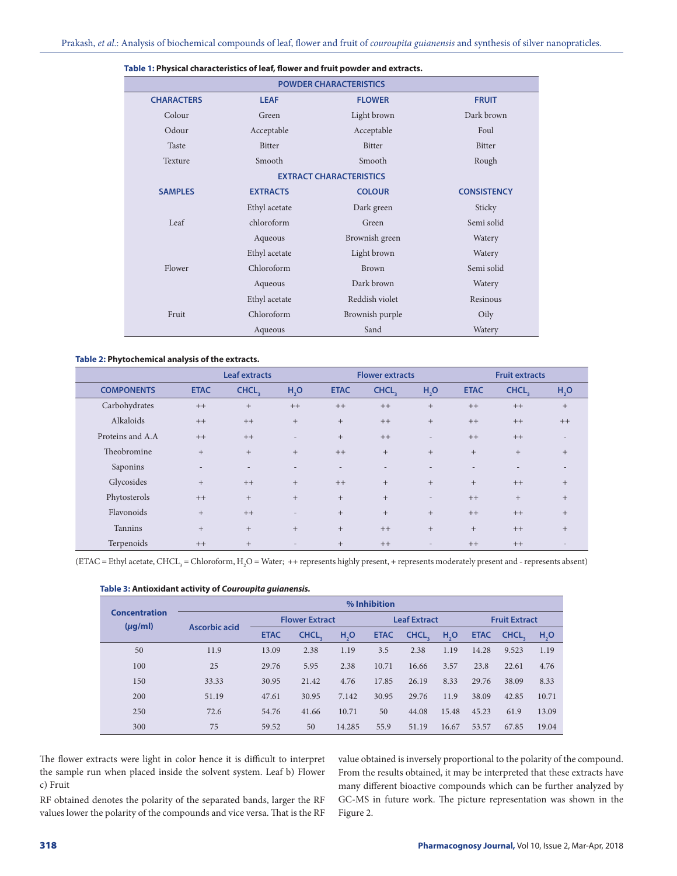| <b>POWDER CHARACTERISTICS</b> |                 |                                |                    |  |  |  |  |
|-------------------------------|-----------------|--------------------------------|--------------------|--|--|--|--|
| <b>CHARACTERS</b>             | <b>LEAF</b>     | <b>FLOWER</b>                  | <b>FRUIT</b>       |  |  |  |  |
| Colour                        | Green           | Light brown                    | Dark brown         |  |  |  |  |
| Odour                         | Acceptable      | Acceptable                     | Foul               |  |  |  |  |
| Taste                         | <b>Bitter</b>   | Bitter                         | <b>Bitter</b>      |  |  |  |  |
| Texture                       | Smooth          | Smooth                         | Rough              |  |  |  |  |
|                               |                 | <b>EXTRACT CHARACTERISTICS</b> |                    |  |  |  |  |
| <b>SAMPLES</b>                | <b>EXTRACTS</b> | <b>COLOUR</b>                  | <b>CONSISTENCY</b> |  |  |  |  |
|                               | Ethyl acetate   | Dark green                     | Sticky             |  |  |  |  |
| Leaf                          | chloroform      | Green                          | Semi solid         |  |  |  |  |
|                               | Aqueous         | Brownish green                 | Watery             |  |  |  |  |
|                               | Ethyl acetate   | Light brown                    | Watery             |  |  |  |  |
| Flower                        | Chloroform      | Brown                          | Semi solid         |  |  |  |  |
|                               | Aqueous         | Dark brown                     | Watery             |  |  |  |  |
|                               | Ethyl acetate   | Reddish violet                 | Resinous           |  |  |  |  |
| Fruit                         | Chloroform      | Brownish purple                | Oily               |  |  |  |  |
|                               | Aqueous         | Sand                           | Watery             |  |  |  |  |

#### **Table 1: Physical characteristics of leaf, flower and fruit powder and extracts.**

#### **Table 2: Phytochemical analysis of the extracts.**

|                   |                          | <b>Leaf extracts</b>     |                          |             | <b>Flower extracts</b> |                          |             | <b>Fruit extracts</b> |                          |
|-------------------|--------------------------|--------------------------|--------------------------|-------------|------------------------|--------------------------|-------------|-----------------------|--------------------------|
| <b>COMPONENTS</b> | <b>ETAC</b>              | CHCL,                    | H <sub>2</sub> O         | <b>ETAC</b> | CHCL,                  | H <sub>2</sub> O         | <b>ETAC</b> | CHCL,                 | H <sub>2</sub> O         |
| Carbohydrates     | $++$                     | $+$                      | $++$                     | $++$        | $++$                   | $+$                      | $++$        | $++$                  | $+$                      |
| Alkaloids         | $++$                     | $++$                     | $+$                      | $+$         | $++$                   | $+$                      | $++$        | $++$                  | $++$                     |
| Proteins and A.A. | $++$                     | $++$                     | $\overline{\phantom{a}}$ | $+$         | $++$                   | $\overline{\phantom{a}}$ | $++$        | $++$                  | $\overline{\phantom{a}}$ |
| Theobromine       | $+$                      | $+$                      | $+$                      | $++$        | $^{+}$                 | $+$                      | $+$         | $+$                   | $+$                      |
| Saponins          | $\overline{\phantom{0}}$ | $\overline{\phantom{a}}$ | $\overline{\phantom{0}}$ |             |                        |                          |             |                       | $\overline{\phantom{a}}$ |
| Glycosides        | $+$                      | $++$                     | $+$                      | $++$        | $+$                    | $+$                      | $+$         | $++$                  | $+$                      |
| Phytosterols      | $++$                     | $+$                      | $+$                      | $+$         | $+$                    | $\overline{\phantom{a}}$ | $++$        | $+$                   | $+$                      |
| Flavonoids        | $+$                      | $++$                     | $\overline{\phantom{a}}$ | $+$         | $+$                    | $+$                      | $++$        | $++$                  | $+$                      |
| Tannins           | $+$                      | $+$                      | $+$                      | $+$         | $++$                   | $+$                      | $+$         | $++$                  | $+$                      |
| Terpenoids        | $++$                     | $+$                      |                          | $+$         | $++$                   | $\overline{\phantom{a}}$ | $++$        | $++$                  | $\overline{\phantom{a}}$ |

(ETAC = Ethyl acetate, CHCL<sub>3</sub> = Chloroform, H<sub>2</sub>O = Water; ++ represents highly present, + represents moderately present and - represents absent)

|                                      | % Inhibition  |             |                       |                  |             |                     |                  |       |                      |                  |  |
|--------------------------------------|---------------|-------------|-----------------------|------------------|-------------|---------------------|------------------|-------|----------------------|------------------|--|
| <b>Concentration</b><br>$(\mu g/ml)$ | Ascorbic acid |             | <b>Flower Extract</b> |                  |             | <b>Leaf Extract</b> |                  |       | <b>Fruit Extract</b> |                  |  |
|                                      |               | <b>ETAC</b> | CHCL,                 | H <sub>2</sub> O | <b>ETAC</b> | CHCL,               | H <sub>2</sub> O |       | ETAC CHCL            | H <sub>2</sub> O |  |
| 50                                   | 11.9          | 13.09       | 2.38                  | 1.19             | 3.5         | 2.38                | 1.19             | 14.28 | 9.523                | 1.19             |  |
| 100                                  | 25            | 29.76       | 5.95                  | 2.38             | 10.71       | 16.66               | 3.57             | 23.8  | 22.61                | 4.76             |  |
| 150                                  | 33.33         | 30.95       | 21.42                 | 4.76             | 17.85       | 26.19               | 8.33             | 29.76 | 38.09                | 8.33             |  |
| 200                                  | 51.19         | 47.61       | 30.95                 | 7.142            | 30.95       | 29.76               | 11.9             | 38.09 | 42.85                | 10.71            |  |
| 250                                  | 72.6          | 54.76       | 41.66                 | 10.71            | 50          | 44.08               | 15.48            | 45.23 | 61.9                 | 13.09            |  |
| 300                                  | 75            | 59.52       | 50                    | 14.285           | 55.9        | 51.19               | 16.67            | 53.57 | 67.85                | 19.04            |  |

**Table 3: Antioxidant activity of** *Couroupita guianensis.*

The flower extracts were light in color hence it is difficult to interpret the sample run when placed inside the solvent system. Leaf b) Flower c) Fruit

RF obtained denotes the polarity of the separated bands, larger the RF values lower the polarity of the compounds and vice versa. That is the RF value obtained is inversely proportional to the polarity of the compound. From the results obtained, it may be interpreted that these extracts have many different bioactive compounds which can be further analyzed by GC-MS in future work. The picture representation was shown in the Figure 2.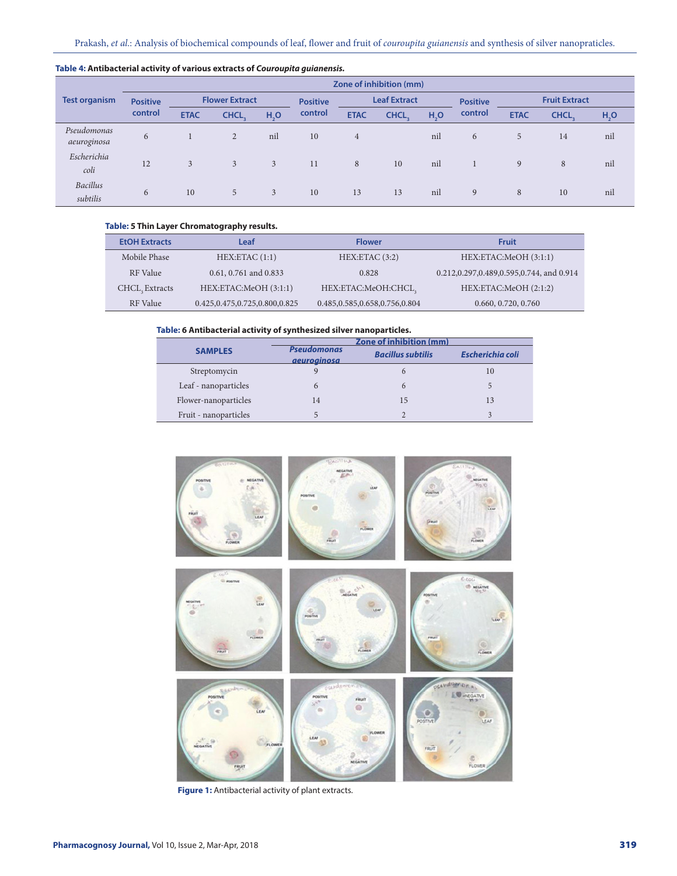|                             |                 |             |                       | . .              | -               |             | Zone of inhibition (mm) |                  |                 |             |                      |                  |
|-----------------------------|-----------------|-------------|-----------------------|------------------|-----------------|-------------|-------------------------|------------------|-----------------|-------------|----------------------|------------------|
| <b>Test organism</b>        | <b>Positive</b> |             | <b>Flower Extract</b> |                  | <b>Positive</b> |             | <b>Leaf Extract</b>     |                  | <b>Positive</b> |             | <b>Fruit Extract</b> |                  |
|                             | control         | <b>ETAC</b> | CHCL,                 | H <sub>2</sub> O | control         | <b>ETAC</b> | CHCL,                   | H <sub>2</sub> O | control         | <b>ETAC</b> | CHCL.                | H <sub>2</sub> O |
| Pseudomonas<br>aeuroginosa  | 6               |             | $\overline{2}$        | nil              | 10              | 4           |                         | nil              | 6               | 5           | 14                   | nil              |
| Escherichia<br>coli         | 12              | 3           | 3                     | 3                | 11              | 8           | 10                      | nil              |                 | 9           | 8                    | nil              |
| <b>Bacillus</b><br>subtilis | 6               | 10          | 5                     | 3                | 10              | 13          | 13                      | nil              | 9               | 8           | 10                   | nil              |

#### **Table 4: Antibacterial activity of various extracts of** *Couroupita guianensis.*

# **Table: 5 Thin Layer Chromatography results.**

| <b>EtOH Extracts</b> | Leaf                              | <b>Flower</b>                     | Fruit                                    |
|----------------------|-----------------------------------|-----------------------------------|------------------------------------------|
| Mobile Phase         | HEX:ETAC(1:1)                     | HEX:ETAC(3:2)                     | HEX:ETAC:MeOH (3:1:1)                    |
| RF Value             | 0.61, 0.761 and 0.833             | 0.828                             | 0.212,0.297,0.489,0.595,0.744, and 0.914 |
| CHCL, Extracts       | HEX:ETAC:MeOH (3:1:1)             | HEX:ETAC:MeOH:CHCL,               | HEX:ETAC:MeOH (2:1:2)                    |
| RF Value             | 0.425, 0.475, 0.725, 0.800, 0.825 | 0.485, 0.585, 0.658, 0.756, 0.804 | 0.660, 0.720, 0.760                      |

#### **Table: 6 Antibacterial activity of synthesized silver nanoparticles.**

|                       | Zone of inhibition (mm)                  |                          |                         |  |  |  |  |  |
|-----------------------|------------------------------------------|--------------------------|-------------------------|--|--|--|--|--|
| <b>SAMPLES</b>        | <b>Pseudomonas</b><br><i>aeuroainosa</i> | <b>Bacillus subtilis</b> | <b>Escherichia coli</b> |  |  |  |  |  |
| Streptomycin          |                                          |                          | 10                      |  |  |  |  |  |
| Leaf - nanoparticles  |                                          |                          |                         |  |  |  |  |  |
| Flower-nanoparticles  | 14                                       | 15                       | 13                      |  |  |  |  |  |
| Fruit - nanoparticles |                                          |                          |                         |  |  |  |  |  |



**Figure 1:** Antibacterial activity of plant extracts.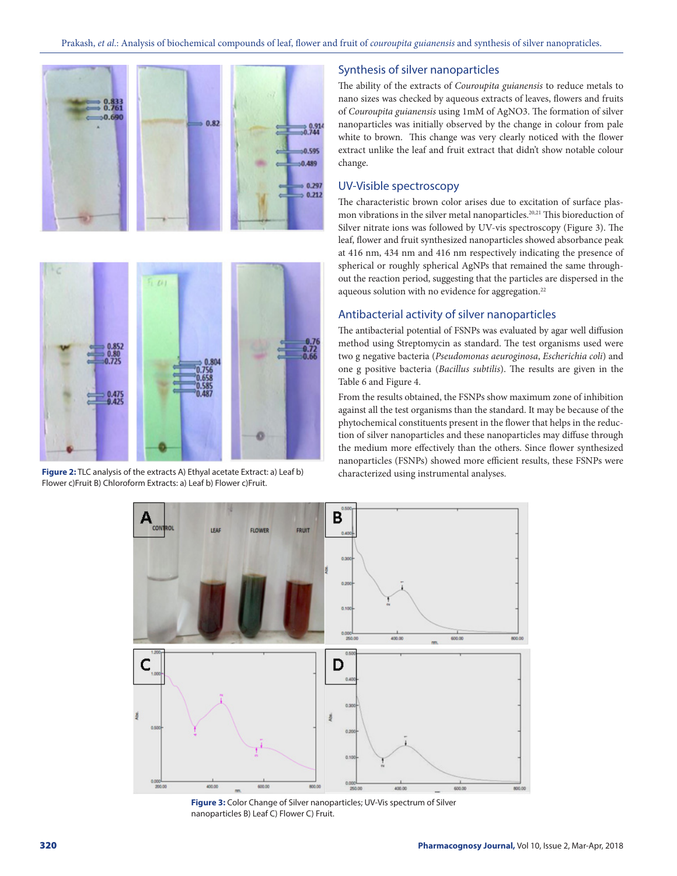

**Figure 2:** TLC analysis of the extracts A) Ethyal acetate Extract: a) Leaf b) Flower c)Fruit B) Chloroform Extracts: a) Leaf b) Flower c)Fruit.

Synthesis of silver nanoparticles

The ability of the extracts of *Couroupita guianensis* to reduce metals to nano sizes was checked by aqueous extracts of leaves, flowers and fruits of *Couroupita guianensis* using 1mM of AgNO3. The formation of silver nanoparticles was initially observed by the change in colour from pale white to brown. This change was very clearly noticed with the flower extract unlike the leaf and fruit extract that didn't show notable colour change.

# UV-Visible spectroscopy

The characteristic brown color arises due to excitation of surface plasmon vibrations in the silver metal nanoparticles.<sup>20,21</sup> This bioreduction of Silver nitrate ions was followed by UV-vis spectroscopy (Figure 3). The leaf, flower and fruit synthesized nanoparticles showed absorbance peak at 416 nm, 434 nm and 416 nm respectively indicating the presence of spherical or roughly spherical AgNPs that remained the same throughout the reaction period, suggesting that the particles are dispersed in the aqueous solution with no evidence for aggregation.<sup>22</sup>

#### Antibacterial activity of silver nanoparticles

The antibacterial potential of FSNPs was evaluated by agar well diffusion method using Streptomycin as standard. The test organisms used were two g negative bacteria (*Pseudomonas aeuroginosa*, *Escherichia coli*) and one g positive bacteria (*Bacillus subtilis*). The results are given in the Table 6 and Figure 4.

From the results obtained, the FSNPs show maximum zone of inhibition against all the test organisms than the standard. It may be because of the phytochemical constituents present in the flower that helps in the reduction of silver nanoparticles and these nanoparticles may diffuse through the medium more effectively than the others. Since flower synthesized nanoparticles (FSNPs) showed more efficient results, these FSNPs were characterized using instrumental analyses.



**Figure 3:** Color Change of Silver nanoparticles; UV-Vis spectrum of Silver nanoparticles B) Leaf C) Flower C) Fruit.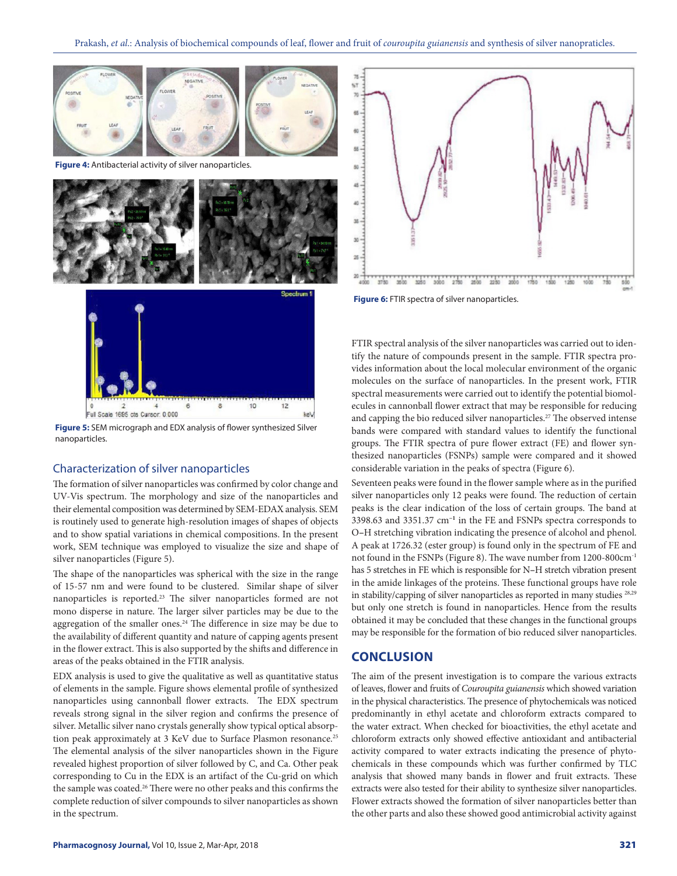

**Figure 4:** Antibacterial activity of silver nanoparticles.



**Figure 5:** SEM micrograph and EDX analysis of flower synthesized Silver nanoparticles.

#### Characterization of silver nanoparticles

The formation of silver nanoparticles was confirmed by color change and UV-Vis spectrum. The morphology and size of the nanoparticles and their elemental composition was determined by SEM-EDAX analysis. SEM is routinely used to generate high-resolution images of shapes of objects and to show spatial variations in chemical compositions. In the present work, SEM technique was employed to visualize the size and shape of silver nanoparticles (Figure 5).

The shape of the nanoparticles was spherical with the size in the range of 15-57 nm and were found to be clustered. Similar shape of silver nanoparticles is reported.23 The silver nanoparticles formed are not mono disperse in nature. The larger silver particles may be due to the aggregation of the smaller ones.<sup>24</sup> The difference in size may be due to the availability of different quantity and nature of capping agents present in the flower extract. This is also supported by the shifts and difference in areas of the peaks obtained in the FTIR analysis.

EDX analysis is used to give the qualitative as well as quantitative status of elements in the sample. Figure shows elemental profile of synthesized nanoparticles using cannonball flower extracts. The EDX spectrum reveals strong signal in the silver region and confirms the presence of silver. Metallic silver nano crystals generally show typical optical absorption peak approximately at 3 KeV due to Surface Plasmon resonance.<sup>25</sup> The elemental analysis of the silver nanoparticles shown in the Figure revealed highest proportion of silver followed by C, and Ca. Other peak corresponding to Cu in the EDX is an artifact of the Cu-grid on which the sample was coated.<sup>26</sup> There were no other peaks and this confirms the complete reduction of silver compounds to silver nanoparticles as shown in the spectrum.



**Figure 6:** FTIR spectra of silver nanoparticles.

FTIR spectral analysis of the silver nanoparticles was carried out to identify the nature of compounds present in the sample. FTIR spectra provides information about the local molecular environment of the organic molecules on the surface of nanoparticles. In the present work, FTIR spectral measurements were carried out to identify the potential biomolecules in cannonball flower extract that may be responsible for reducing and capping the bio reduced silver nanoparticles.<sup>27</sup> The observed intense bands were compared with standard values to identify the functional groups. The FTIR spectra of pure flower extract (FE) and flower synthesized nanoparticles (FSNPs) sample were compared and it showed considerable variation in the peaks of spectra (Figure 6).

Seventeen peaks were found in the flower sample where as in the purified silver nanoparticles only 12 peaks were found. The reduction of certain peaks is the clear indication of the loss of certain groups. The band at 3398.63 and 3351.37 cm**−1** in the FE and FSNPs spectra corresponds to O**–**H stretching vibration indicating the presence of alcohol and phenol. A peak at 1726.32 (ester group) is found only in the spectrum of FE and not found in the FSNPs (Figure 8). The wave number from 1200-800cm-1 has 5 stretches in FE which is responsible for N**–**H stretch vibration present in the amide linkages of the proteins. These functional groups have role in stability/capping of silver nanoparticles as reported in many studies 28,29 but only one stretch is found in nanoparticles. Hence from the results obtained it may be concluded that these changes in the functional groups may be responsible for the formation of bio reduced silver nanoparticles.

# **CONCLUSION**

The aim of the present investigation is to compare the various extracts of leaves, flower and fruits of *Couroupita guianensis* which showed variation in the physical characteristics. The presence of phytochemicals was noticed predominantly in ethyl acetate and chloroform extracts compared to the water extract. When checked for bioactivities, the ethyl acetate and chloroform extracts only showed effective antioxidant and antibacterial activity compared to water extracts indicating the presence of phytochemicals in these compounds which was further confirmed by TLC analysis that showed many bands in flower and fruit extracts. These extracts were also tested for their ability to synthesize silver nanoparticles. Flower extracts showed the formation of silver nanoparticles better than the other parts and also these showed good antimicrobial activity against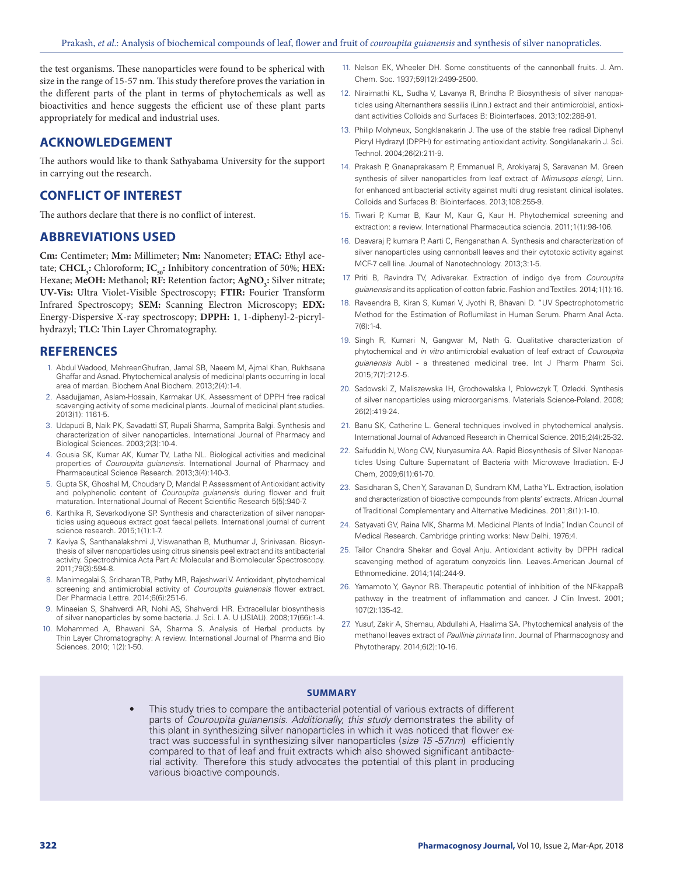the test organisms. These nanoparticles were found to be spherical with size in the range of 15-57 nm. This study therefore proves the variation in the different parts of the plant in terms of phytochemicals as well as bioactivities and hence suggests the efficient use of these plant parts appropriately for medical and industrial uses.

#### **ACKNOWLEDGEMENT**

The authors would like to thank Sathyabama University for the support in carrying out the research.

# **CONFLICT OF INTEREST**

The authors declare that there is no conflict of interest.

# **ABBREVIATIONS USED**

**Cm:** Centimeter; **Mm:** Millimeter; **Nm:** Nanometer; **ETAC:** Ethyl acetate; **CHCL**<sub>3</sub>: Chloroform; **IC**<sub>50</sub>: Inhibitory concentration of 50%; **HEX:** Hexane; MeOH: Methanol; RF: Retention factor; AgNO<sub>3</sub>: Silver nitrate; **UV-Vis:** Ultra Violet-Visible Spectroscopy; **FTIR:** Fourier Transform Infrared Spectroscopy; **SEM:** Scanning Electron Microscopy; **EDX:** Energy-Dispersive X-ray spectroscopy; **DPPH:** 1, 1-diphenyl-2-picrylhydrazyl; **TLC:** Thin Layer Chromatography.

#### **REFERENCES**

- 1. Abdul Wadood, MehreenGhufran, Jamal SB, Naeem M, Ajmal Khan, Rukhsana Ghaffar and Asnad. Phytochemical analysis of medicinal plants occurring in local area of mardan. Biochem Anal Biochem. 2013;2(4):1-4.
- 2. Asadujjaman, Aslam-Hossain, Karmakar UK. Assessment of DPPH free radical scavenging activity of some medicinal plants. Journal of medicinal plant studies. 2013(1): 1161-5.
- 3. Udapudi B, Naik PK, Savadatti ST, Rupali Sharma, Samprita Balgi. Synthesis and characterization of silver nanoparticles. International Journal of Pharmacy and Biological Sciences. 2003;2(3):10-4.
- 4. Gousia SK, Kumar AK, Kumar TV, Latha NL. Biological activities and medicinal properties of *Couroupita guianensis*. International Journal of Pharmacy and Pharmaceutical Science Research. 2013;3(4):140-3.
- 5. Gupta SK, Ghoshal M, Choudary D, Mandal P. Assessment of Antioxidant activity and polyphenolic content of *Couroupita guianensis* during flower and fruit maturation. International Journal of Recent Scientific Research 5(5):940-7.
- 6. Karthika R, Sevarkodiyone SP. Synthesis and characterization of silver nanoparticles using aqueous extract goat faecal pellets. International journal of current science research. 2015;1(1):1-7.
- 7. Kaviya S, Santhanalakshmi J, Viswanathan B, Muthumar J, Srinivasan. Biosynthesis of silver nanoparticles using citrus sinensis peel extract and its antibacterial activity. Spectrochimica Acta Part A: Molecular and Biomolecular Spectroscopy. 2011;79(3):594-8.
- 8. Manimegalai S, Sridharan TB, Pathy MR, Rajeshwari V. Antioxidant, phytochemical screening and antimicrobial activity of *Couroupita guianensis* flower extract. Der Pharmacia Lettre. 2014;6(6):251-6.
- 9. Minaeian S, Shahverdi AR, Nohi AS, Shahverdi HR. Extracellular biosynthesis of silver nanoparticles by some bacteria. J. Sci. I. A. U (JSIAU). 2008;17(66):1-4.
- 10. Mohammed A, Bhawani SA, Sharma S. Analysis of Herbal products by Thin Layer Chromatography: A review. International Journal of Pharma and Bio Sciences. 2010; 1(2):1-50.
- 11. Nelson EK, Wheeler DH. Some constituents of the cannonball fruits. J. Am. Chem. Soc. 1937;59(12):2499-2500.
- 12. Niraimathi KL, Sudha V, Lavanya R, Brindha P. Biosynthesis of silver nanoparticles using Alternanthera sessilis (Linn.) extract and their antimicrobial, antioxidant activities Colloids and Surfaces B: Biointerfaces. 2013;102:288-91.
- 13. Philip Molyneux, Songklanakarin J. The use of the stable free radical Diphenyl Picryl Hydrazyl (DPPH) for estimating antioxidant activity. Songklanakarin J. Sci. Technol. 2004;26(2):211-9.
- 14. Prakash P, Gnanaprakasam P, Emmanuel R, Arokiyaraj S, Saravanan M. Green synthesis of silver nanoparticles from leaf extract of *Mimusops elengi*, Linn. for enhanced antibacterial activity against multi drug resistant clinical isolates. Colloids and Surfaces B: Biointerfaces. 2013;108:255-9.
- 15. Tiwari P, Kumar B, Kaur M, Kaur G, Kaur H. Phytochemical screening and extraction: a review. International Pharmaceutica sciencia. 2011;1(1):98-106.
- 16. Deavaraj P, kumara P, Aarti C, Renganathan A. Synthesis and characterization of silver nanoparticles using cannonball leaves and their cytotoxic activity against MCF-7 cell line. Journal of Nanotechnology. 2013;3:1-5.
- 17. Priti B, Ravindra TV, Adivarekar. Extraction of indigo dye from *Couroupita guianensis* and its application of cotton fabric. Fashion and Textiles. 2014;1(1):16.
- 18. Raveendra B, Kiran S, Kumari V, Jyothi R, Bhavani D. "UV Spectrophotometric Method for the Estimation of Roflumilast in Human Serum. Pharm Anal Acta. 7(6):1-4.
- 19. Singh R, Kumari N, Gangwar M, Nath G. Qualitative characterization of phytochemical and *in vitro* antimicrobial evaluation of leaf extract of *Couroupita guianensis* Aubl - a threatened medicinal tree. Int J Pharm Pharm Sci. 2015;7(7):212-5.
- 20. Sadowski Z, Maliszewska IH, Grochowalska I, Polowczyk T, Ozlecki. Synthesis of silver nanoparticles using microorganisms. Materials Science-Poland. 2008; 26(2):419-24.
- 21. Banu SK, Catherine L. General techniques involved in phytochemical analysis. International Journal of Advanced Research in Chemical Science. 2015;2(4):25-32.
- 22. Saifuddin N, Wong CW, Nuryasumira AA. Rapid Biosynthesis of Silver Nanoparticles Using Culture Supernatant of Bacteria with Microwave Irradiation. E-J Chem, 2009;6(1):61-70.
- 23. Sasidharan S, Chen Y, Saravanan D, Sundram KM, Latha YL. Extraction, isolation and characterization of bioactive compounds from plants' extracts. African Journal of Traditional Complementary and Alternative Medicines. 2011;8(1):1-10.
- 24. Satyavati GV, Raina MK, Sharma M. Medicinal Plants of India", Indian Council of Medical Research. Cambridge printing works: New Delhi. 1976;4.
- 25. Tailor Chandra Shekar and Goyal Anju. Antioxidant activity by DPPH radical scavenging method of ageratum conyzoids linn. Leaves.American Journal of Ethnomedicine. 2014;1(4):244-9.
- 26. Yamamoto Y, Gaynor RB. Therapeutic potential of inhibition of the NF-kappaB pathway in the treatment of inflammation and cancer. J Clin Invest. 2001; 107(2):135-42.
- 27. Yusuf, Zakir A, Shemau, Abdullahi A, Haalima SA. Phytochemical analysis of the methanol leaves extract of *Paullinia pinnata* linn. Journal of Pharmacognosy and Phytotherapy. 2014;6(2):10-16.

#### **SUMMARY**

This study tries to compare the antibacterial potential of various extracts of different parts of *Couroupita guianensis*. *Additionally, this study* demonstrates the ability of this plant in synthesizing silver nanoparticles in which it was noticed that flower extract was successful in synthesizing silver nanoparticles (*size 15 -57nm*) efficiently compared to that of leaf and fruit extracts which also showed significant antibacterial activity. Therefore this study advocates the potential of this plant in producing various bioactive compounds.